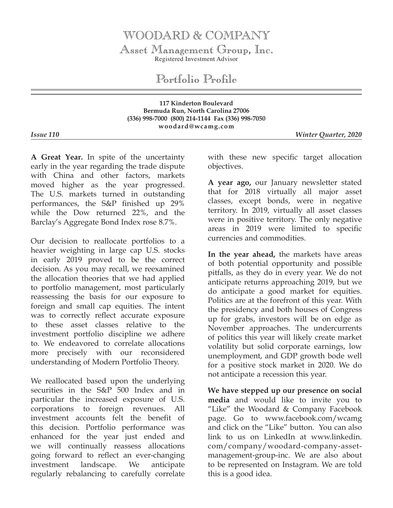## WOODARD & COMPANY

Asset Management Group, Inc. Registered Investment Advisor

Portfolio Profile

**117 Kinderton Boulevard Bermuda Run, North Carolina 27006 (336) 998-7000 (800) 214-1144 Fax (336) 998-7050 woodard@wcamg.com**

*Issue 110 Winter Quarter, 2020*

**A Great Year.** In spite of the uncertainty early in the year regarding the trade dispute with China and other factors, markets moved higher as the year progressed. The U.S. markets turned in outstanding performances, the S&P finished up 29% while the Dow returned 22%, and the Barclay's Aggregate Bond Index rose 8.7%.

Our decision to reallocate portfolios to a heavier weighting in large cap U.S. stocks in early 2019 proved to be the correct decision. As you may recall, we reexamined the allocation theories that we had applied to portfolio management, most particularly reassessing the basis for our exposure to foreign and small cap equities. The intent was to correctly reflect accurate exposure to these asset classes relative to the investment portfolio discipline we adhere to. We endeavored to correlate allocations more precisely with our reconsidered understanding of Modern Portfolio Theory.

We reallocated based upon the underlying securities in the S&P 500 Index and in particular the increased exposure of U.S. corporations to foreign revenues. All investment accounts felt the benefit of this decision. Portfolio performance was enhanced for the year just ended and we will continually reassess allocations going forward to reflect an ever-changing investment landscape. We anticipate regularly rebalancing to carefully correlate

with these new specific target allocation objectives.

**A year ago,** our January newsletter stated that for 2018 virtually all major asset classes, except bonds, were in negative territory. In 2019, virtually all asset classes were in positive territory. The only negative areas in 2019 were limited to specific currencies and commodities.

**In the year ahead,** the markets have areas of both potential opportunity and possible pitfalls, as they do in every year. We do not anticipate returns approaching 2019, but we do anticipate a good market for equities. Politics are at the forefront of this year. With the presidency and both houses of Congress up for grabs, investors will be on edge as November approaches. The undercurrents of politics this year will likely create market volatility but solid corporate earnings, low unemployment, and GDP growth bode well for a positive stock market in 2020. We do not anticipate a recession this year.

**We have stepped up our presence on social media** and would like to invite you to "Like" the Woodard & Company Facebook page. Go to www.facebook.com/wcamg and click on the "Like" button. You can also link to us on LinkedIn at www.linkedin. com/company/woodard-company-assetmanagement-group-inc. We are also about to be represented on Instagram. We are told this is a good idea.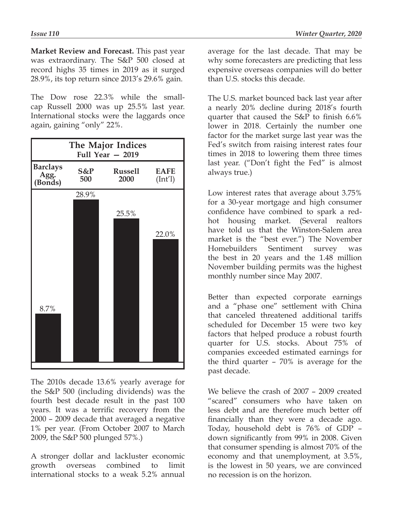**Market Review and Forecast.** This past year was extraordinary. The S&P 500 closed at record highs 35 times in 2019 as it surged 28.9%, its top return since 2013's 29.6% gain.

The Dow rose 22.3% while the smallcap Russell 2000 was up 25.5% last year. International stocks were the laggards once again, gaining "only" 22%.



The 2010s decade 13.6% yearly average for the S&P 500 (including dividends) was the fourth best decade result in the past 100 years. It was a terrific recovery from the 2000 – 2009 decade that averaged a negative 1% per year. (From October 2007 to March 2009, the S&P 500 plunged 57%.)

A stronger dollar and lackluster economic growth overseas combined to limit international stocks to a weak 5.2% annual

average for the last decade. That may be why some forecasters are predicting that less expensive overseas companies will do better than U.S. stocks this decade.

The U.S. market bounced back last year after a nearly 20% decline during 2018's fourth quarter that caused the S&P to finish 6.6% lower in 2018. Certainly the number one factor for the market surge last year was the Fed's switch from raising interest rates four times in 2018 to lowering them three times last year. ("Don't fight the Fed" is almost always true.)

Low interest rates that average about 3.75% for a 30-year mortgage and high consumer confidence have combined to spark a redhot housing market. (Several realtors have told us that the Winston-Salem area market is the "best ever.") The November Homebuilders Sentiment survey was the best in 20 years and the 1.48 million November building permits was the highest monthly number since May 2007.

Better than expected corporate earnings and a "phase one" settlement with China that canceled threatened additional tariffs scheduled for December 15 were two key factors that helped produce a robust fourth quarter for U.S. stocks. About 75% of companies exceeded estimated earnings for the third quarter – 70% is average for the past decade.

We believe the crash of 2007 – 2009 created "scared" consumers who have taken on less debt and are therefore much better off financially than they were a decade ago. Today, household debt is 76% of GDP – down significantly from 99% in 2008. Given that consumer spending is almost 70% of the economy and that unemployment, at 3.5%, is the lowest in 50 years, we are convinced no recession is on the horizon.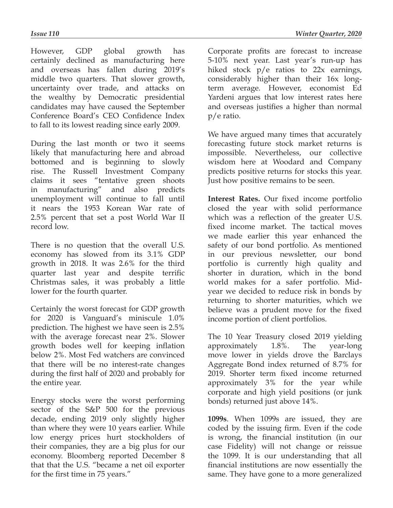However, GDP global growth has certainly declined as manufacturing here and overseas has fallen during 2019's middle two quarters. That slower growth, uncertainty over trade, and attacks on the wealthy by Democratic presidential candidates may have caused the September Conference Board's CEO Confidence Index to fall to its lowest reading since early 2009.

During the last month or two it seems likely that manufacturing here and abroad bottomed and is beginning to slowly rise. The Russell Investment Company claims it sees "tentative green shoots in manufacturing" and also predicts unemployment will continue to fall until it nears the 1953 Korean War rate of 2.5% percent that set a post World War II record low.

There is no question that the overall U.S. economy has slowed from its 3.1% GDP growth in 2018. It was 2.6% for the third quarter last year and despite terrific Christmas sales, it was probably a little lower for the fourth quarter.

Certainly the worst forecast for GDP growth for 2020 is Vanguard's miniscule 1.0% prediction. The highest we have seen is 2.5% with the average forecast near 2%. Slower growth bodes well for keeping inflation below 2%. Most Fed watchers are convinced that there will be no interest-rate changes during the first half of 2020 and probably for the entire year.

Energy stocks were the worst performing sector of the S&P 500 for the previous decade, ending 2019 only slightly higher than where they were 10 years earlier. While low energy prices hurt stockholders of their companies, they are a big plus for our economy. Bloomberg reported December 8 that that the U.S. "became a net oil exporter for the first time in 75 years."

Corporate profits are forecast to increase 5-10% next year. Last year's run-up has hiked stock p/e ratios to 22x earnings, considerably higher than their 16x longterm average. However, economist Ed Yardeni argues that low interest rates here and overseas justifies a higher than normal p/e ratio.

We have argued many times that accurately forecasting future stock market returns is impossible. Nevertheless, our collective wisdom here at Woodard and Company predicts positive returns for stocks this year. Just how positive remains to be seen.

**Interest Rates.** Our fixed income portfolio closed the year with solid performance which was a reflection of the greater U.S. fixed income market. The tactical moves we made earlier this year enhanced the safety of our bond portfolio. As mentioned in our previous newsletter, our bond portfolio is currently high quality and shorter in duration, which in the bond world makes for a safer portfolio. Midyear we decided to reduce risk in bonds by returning to shorter maturities, which we believe was a prudent move for the fixed income portion of client portfolios.

The 10 Year Treasury closed 2019 yielding approximately 1.8%. The year-long move lower in yields drove the Barclays Aggregate Bond index returned of 8.7% for 2019. Shorter term fixed income returned approximately 3% for the year while corporate and high yield positions (or junk bonds) returned just above 14%.

**1099s**. When 1099s are issued, they are coded by the issuing firm. Even if the code is wrong, the financial institution (in our case Fidelity) will not change or reissue the 1099. It is our understanding that all financial institutions are now essentially the same. They have gone to a more generalized